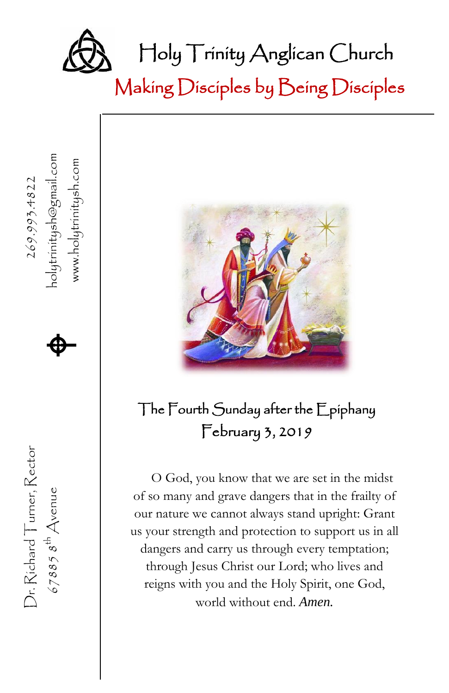

Making Disciples by Being Disciples



### The Fourth Sunday after the Epiphany February 3, 2019

O God, you know that we are set in the midst of so many and grave dangers that in the frailty of our nature we cannot always stand upright: Grant us your strength and protection to support us in all dangers and carry us through every temptation; through Jesus Christ our Lord; who lives and reigns with you and the Holy Spirit, one God, world without end. *Amen.*

67885  $s^{\text{th}}$  Avenue **A** Dr. Richard Turner, Rector Dr. Richard Turner, Rector  $678858^{th}$  Avenue

、 269.993.4822 www.holytrinitysh.com

www.holytrinitysh.com

 $\spadesuit$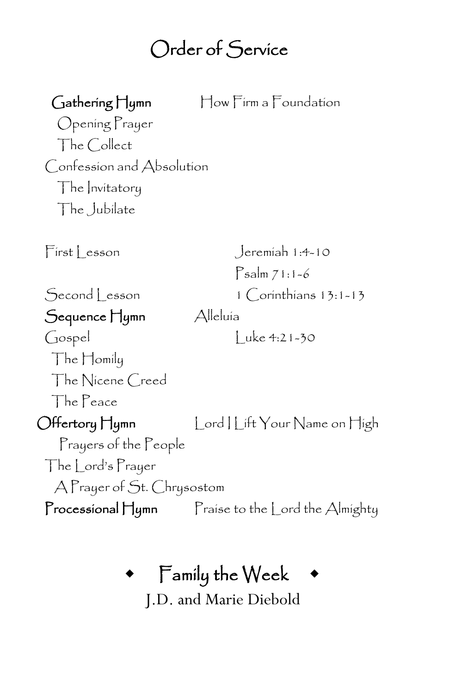#### Call to Worship I Bless Your Name Order of Service

Gathering Hymn How Firm a Foundation Opening Prayer The Collect Confession and Absolution The Invitatory The Jubilate First esson Jeremiah 1:4-10 Psalm 71:1-6 Second Lesson 1 Corinthians 13:1-13 Sequence Hymn Alleluía Gospel Luke 4:21-30 The Homily The Nicene Creed The Peace Offertory Hymn Lord | Lift Your Name on High Prayers of the People The Lord's Prayer A Prayer of St. Chrysostom Processional Hymn Praise to the Lord the Almighty

## Family the Week

J.D. and Marie Diebold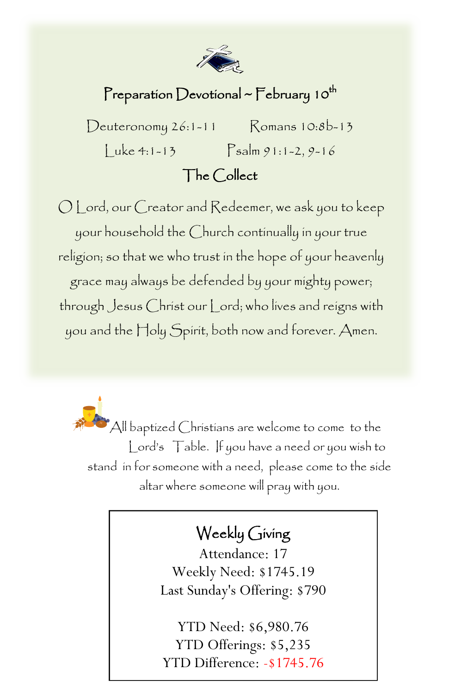

### Preparation Devotional ~  $\Gamma$ ebruary 10<sup>th</sup>

 $Deuteronomy 26:1-11$  Romans  $10:8b-13$ Luke 4:1-13 Psalm 91:1-2, 9-16

#### The Collect

O Lord, our Creator and Redeemer, we ask you to keep your household the Church continually in your true religion; so that we who trust in the hope of your heavenly grace may always be defended by your mighty power; through Jesus Christ our Lord; who lives and reigns with you and the Holy Spirit, both now and forever. Amen.

 $\bullet$  All baptized Christians are welcome to come to the Lord's Table. If you have a need or you wish to stand in for someone with a need, please come to the side altar where someone will pray with you.

### Weekly Giving

 Last Sunday's Offering: \$790 Attendance: 17 Weekly Need: \$1745.19

YTD Need: \$6,980.76 YTD Offerings: \$5,235 YTD Difference: -\$1745.76